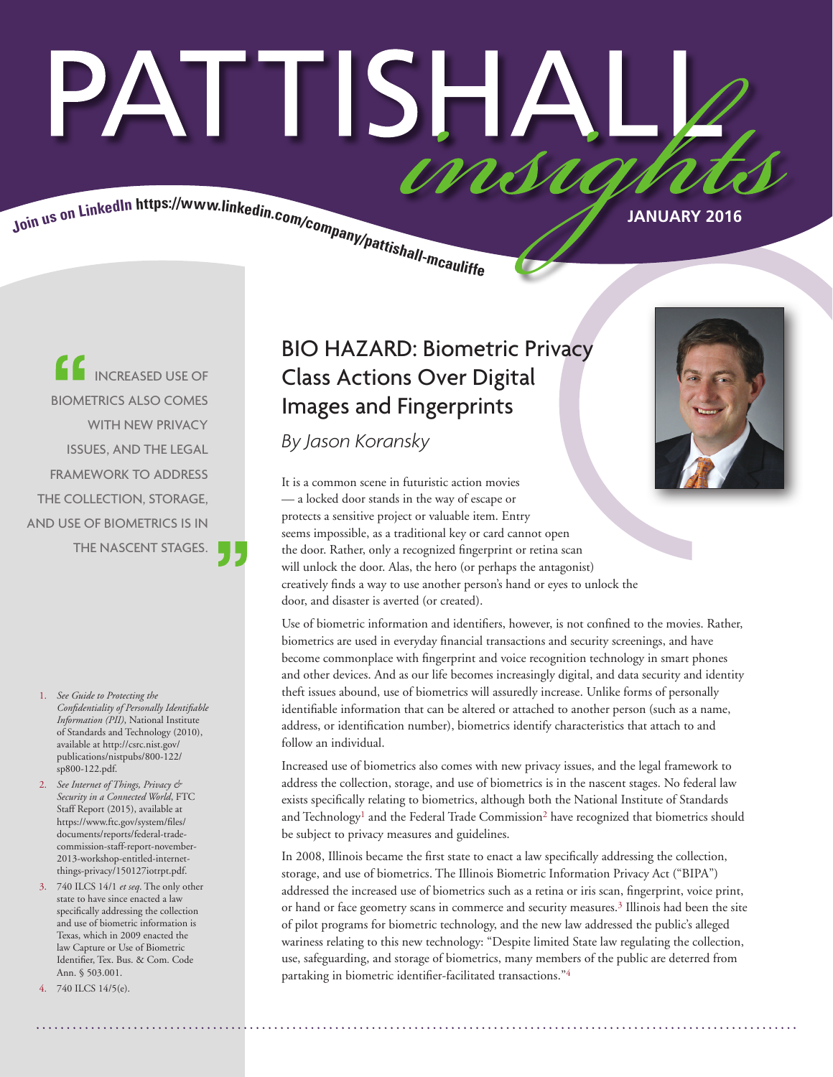# PATTISHA insu

Join us on LinkedIn https://www.linkedin.com/company/pattishall-measure.

INCREASED USE OF BIOMETRICS ALSO COMES WITH NEW PRIVACY ISSUES, AND THE LEGAL FRAMEWORK TO ADDRESS THE COLLECTION, STORAGE, AND USE OF BIOMETRICS IS IN THE NASCENT STAGES.

- 1. *See Guide to Protecting the Confidentiality of Personally Identifiable Information (PII)*, National Institute of Standards and Technology (2010), available at http://csrc.nist.gov/ publications/nistpubs/800-122/ sp800-122.pdf.
- 2. *See Internet of Things, Privacy & Security in a Connected World*, FTC Staff Report (2015), available at https://www.ftc.gov/system/files/ documents/reports/federal-tradecommission-staff-report-november-2013-workshop-entitled-internetthings-privacy/150127iotrpt.pdf.
- 3. 740 ILCS 14/1 *et seq*. The only other state to have since enacted a law specifically addressing the collection and use of biometric information is Texas, which in 2009 enacted the law Capture or Use of Biometric Identifier, Tex. Bus. & Com. Code Ann. § 503.001.
- 740 ILCS 14/5(e).

# BIO HAZARD: Biometric Privacy Class Actions Over Digital Images and Fingerprints

*By Jason Koransky*

It is a common scene in futuristic action movies — a locked door stands in the way of escape or protects a sensitive project or valuable item. Entry seems impossible, as a traditional key or card cannot open the door. Rather, only a recognized fingerprint or retina scan will unlock the door. Alas, the hero (or perhaps the antagonist) creatively finds a way to use another person's hand or eyes to unlock the door, and disaster is averted (or created).

Use of biometric information and identifiers, however, is not confined to the movies. Rather, biometrics are used in everyday financial transactions and security screenings, and have become commonplace with fingerprint and voice recognition technology in smart phones and other devices. And as our life becomes increasingly digital, and data security and identity theft issues abound, use of biometrics will assuredly increase. Unlike forms of personally identifiable information that can be altered or attached to another person (such as a name, address, or identification number), biometrics identify characteristics that attach to and follow an individual.

Increased use of biometrics also comes with new privacy issues, and the legal framework to address the collection, storage, and use of biometrics is in the nascent stages. No federal law exists specifically relating to biometrics, although both the National Institute of Standards and Technology<sup>1</sup> and the Federal Trade Commission<sup>2</sup> have recognized that biometrics should be subject to privacy measures and guidelines.

In 2008, Illinois became the first state to enact a law specifically addressing the collection, storage, and use of biometrics. The Illinois Biometric Information Privacy Act ("BIPA") addressed the increased use of biometrics such as a retina or iris scan, fingerprint, voice print, or hand or face geometry scans in commerce and security measures.3 Illinois had been the site of pilot programs for biometric technology, and the new law addressed the public's alleged wariness relating to this new technology: "Despite limited State law regulating the collection, use, safeguarding, and storage of biometrics, many members of the public are deterred from partaking in biometric identifier-facilitated transactions."4

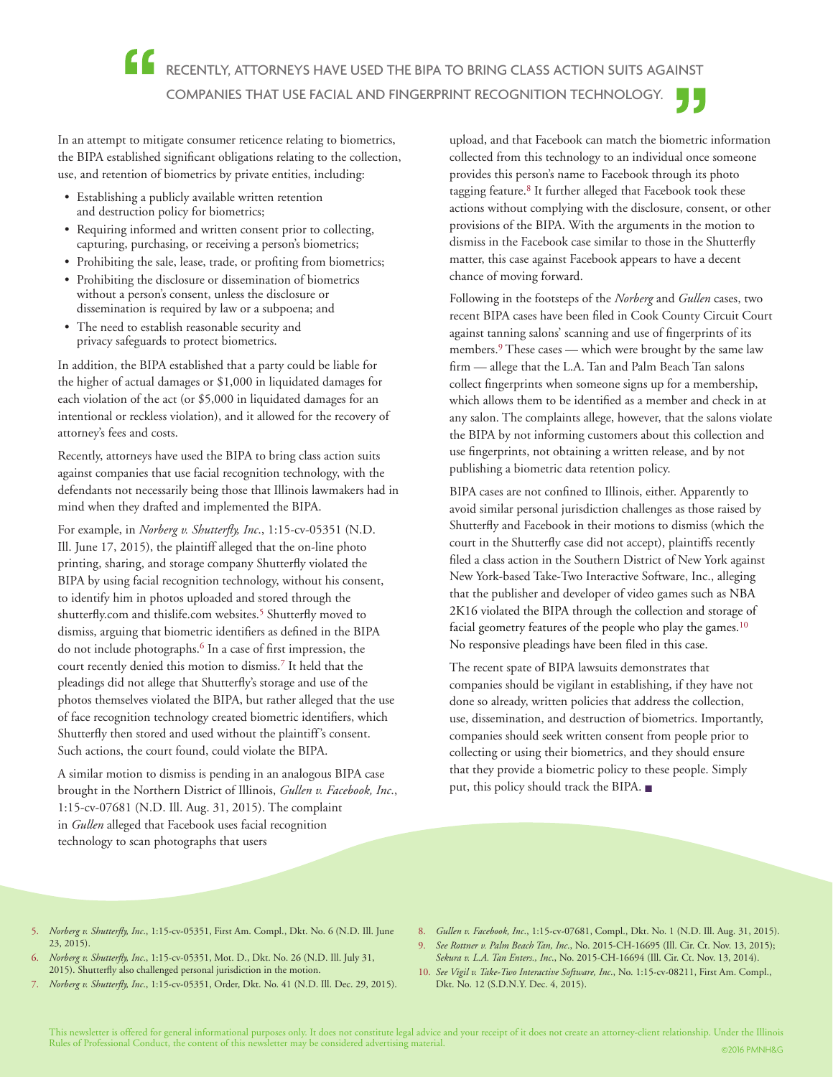In an attempt to mitigate consumer reticence relating to biometrics, the BIPA established significant obligations relating to the collection, use, and retention of biometrics by private entities, including:

- Establishing a publicly available written retention and destruction policy for biometrics;
- Requiring informed and written consent prior to collecting, capturing, purchasing, or receiving a person's biometrics;
- Prohibiting the sale, lease, trade, or profiting from biometrics;
- Prohibiting the disclosure or dissemination of biometrics without a person's consent, unless the disclosure or dissemination is required by law or a subpoena; and
- The need to establish reasonable security and privacy safeguards to protect biometrics.

In addition, the BIPA established that a party could be liable for the higher of actual damages or \$1,000 in liquidated damages for each violation of the act (or \$5,000 in liquidated damages for an intentional or reckless violation), and it allowed for the recovery of attorney's fees and costs.

Recently, attorneys have used the BIPA to bring class action suits against companies that use facial recognition technology, with the defendants not necessarily being those that Illinois lawmakers had in mind when they drafted and implemented the BIPA.

For example, in *Norberg v. Shutterfly, Inc*., 1:15-cv-05351 (N.D. Ill. June 17, 2015), the plaintiff alleged that the on-line photo printing, sharing, and storage company Shutterfly violated the BIPA by using facial recognition technology, without his consent, to identify him in photos uploaded and stored through the shutterfly.com and thislife.com websites.<sup>5</sup> Shutterfly moved to dismiss, arguing that biometric identifiers as defined in the BIPA do not include photographs.<sup>6</sup> In a case of first impression, the court recently denied this motion to dismiss.7 It held that the pleadings did not allege that Shutterfly's storage and use of the photos themselves violated the BIPA, but rather alleged that the use of face recognition technology created biometric identifiers, which Shutterfly then stored and used without the plaintiff's consent. Such actions, the court found, could violate the BIPA.

A similar motion to dismiss is pending in an analogous BIPA case brought in the Northern District of Illinois, *Gullen v. Facebook, Inc*., 1:15-cv-07681 (N.D. Ill. Aug. 31, 2015). The complaint in *Gullen* alleged that Facebook uses facial recognition technology to scan photographs that users

upload, and that Facebook can match the biometric information collected from this technology to an individual once someone provides this person's name to Facebook through its photo tagging feature.8 It further alleged that Facebook took these actions without complying with the disclosure, consent, or other provisions of the BIPA. With the arguments in the motion to dismiss in the Facebook case similar to those in the Shutterfly matter, this case against Facebook appears to have a decent chance of moving forward.

Following in the footsteps of the *Norberg* and *Gullen* cases, two recent BIPA cases have been filed in Cook County Circuit Court against tanning salons' scanning and use of fingerprints of its members.<sup>9</sup> These cases — which were brought by the same law firm — allege that the L.A. Tan and Palm Beach Tan salons collect fingerprints when someone signs up for a membership, which allows them to be identified as a member and check in at any salon. The complaints allege, however, that the salons violate the BIPA by not informing customers about this collection and use fingerprints, not obtaining a written release, and by not publishing a biometric data retention policy.

BIPA cases are not confined to Illinois, either. Apparently to avoid similar personal jurisdiction challenges as those raised by Shutterfly and Facebook in their motions to dismiss (which the court in the Shutterfly case did not accept), plaintiffs recently filed a class action in the Southern District of New York against New York-based Take-Two Interactive Software, Inc., alleging that the publisher and developer of video games such as NBA 2K16 violated the BIPA through the collection and storage of facial geometry features of the people who play the games.<sup>10</sup> No responsive pleadings have been filed in this case.

The recent spate of BIPA lawsuits demonstrates that companies should be vigilant in establishing, if they have not done so already, written policies that address the collection, use, dissemination, and destruction of biometrics. Importantly, companies should seek written consent from people prior to collecting or using their biometrics, and they should ensure that they provide a biometric policy to these people. Simply put, this policy should track the BIPA. ■

- 5. *Norberg v. Shutterfly, Inc*., 1:15-cv-05351, First Am. Compl., Dkt. No. 6 (N.D. Ill. June 23, 2015).
- 6. *Norberg v. Shutterfly, Inc*., 1:15-cv-05351, Mot. D., Dkt. No. 26 (N.D. Ill. July 31, 2015). Shutterfly also challenged personal jurisdiction in the motion.
- 7. *Norberg v. Shutterfly, Inc*., 1:15-cv-05351, Order, Dkt. No. 41 (N.D. Ill. Dec. 29, 2015).
- 8. *Gullen v. Facebook, Inc*., 1:15-cv-07681, Compl., Dkt. No. 1 (N.D. Ill. Aug. 31, 2015).
- 9. *See Rottner v. Palm Beach Tan, Inc*., No. 2015-CH-16695 (Ill. Cir. Ct. Nov. 13, 2015); *Sekura v. L.A. Tan Enters., Inc*., No. 2015-CH-16694 (Ill. Cir. Ct. Nov. 13, 2014).
- 10. *See Vigil v. Take-Two Interactive Software, Inc*., No. 1:15-cv-08211, First Am. Compl., Dkt. No. 12 (S.D.N.Y. Dec. 4, 2015).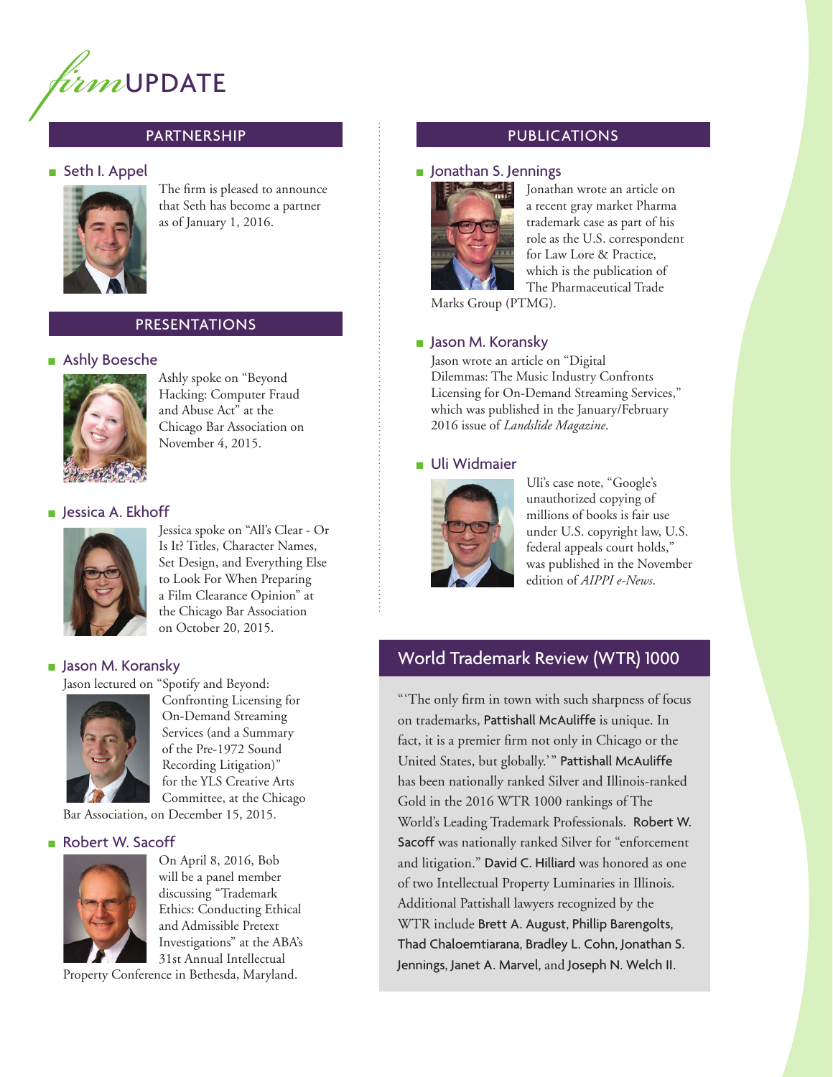

# PARTNERSHIP

#### ■ Seth I. Appel



The firm is pleased to announce that Seth has become a partner as of January 1, 2016.

#### PRESENTATIONS

#### ■ Ashly Boesche



Ashly spoke on "Beyond Hacking: Computer Fraud and Abuse Act" at the Chicago Bar Association on November 4, 2015.

#### ■ Jessica A. Ekhoff



Jessica spoke on "All's Clear - Or Is It? Titles, Character Names, Set Design, and Everything Else to Look For When Preparing a Film Clearance Opinion" at the Chicago Bar Association on October 20, 2015.

#### ■ Jason M. Koransky

Jason lectured on "Spotify and Beyond:



Confronting Licensing for On-Demand Streaming Services (and a Summary of the Pre-1972 Sound Recording Litigation)" for the YLS Creative Arts Committee, at the Chicago

Bar Association, on December 15, 2015.

#### ■ Robert W. Sacoff



On April 8, 2016, Bob will be a panel member discussing "Trademark Ethics: Conducting Ethical and Admissible Pretext Investigations" at the ABA's 31st Annual Intellectual

Property Conference in Bethesda, Maryland.

### PUBLICATIONS

#### ■ Jonathan S. Jennings



Jonathan wrote an article on a recent gray market Pharma trademark case as part of his role as the U.S. correspondent for Law Lore & Practice, which is the publication of The Pharmaceutical Trade

Marks Group (PTMG).

#### ■ Jason M. Koransky

Jason wrote an article on "Digital Dilemmas: The Music Industry Confronts Licensing for On-Demand Streaming Services," which was published in the January/February 2016 issue of *Landslide Magazine*.

#### ■ Uli Widmaier



Uli's case note, "Google's unauthorized copying of millions of books is fair use under U.S. copyright law, U.S. federal appeals court holds," was published in the November edition of *AIPPI e-News*.

# World Trademark Review (WTR) 1000

" 'The only firm in town with such sharpness of focus on trademarks, Pattishall McAuliffe is unique. In fact, it is a premier firm not only in Chicago or the United States, but globally.'" Pattishall McAuliffe has been nationally ranked Silver and Illinois-ranked Gold in the 2016 WTR 1000 rankings of The World's Leading Trademark Professionals. Robert W. Sacoff was nationally ranked Silver for "enforcement and litigation." David C. Hilliard was honored as one of two Intellectual Property Luminaries in Illinois. Additional Pattishall lawyers recognized by the WTR include Brett A. August, Phillip Barengolts, Thad Chaloemtiarana, Bradley L. Cohn, Jonathan S. Jennings, Janet A. Marvel, and Joseph N. Welch II.